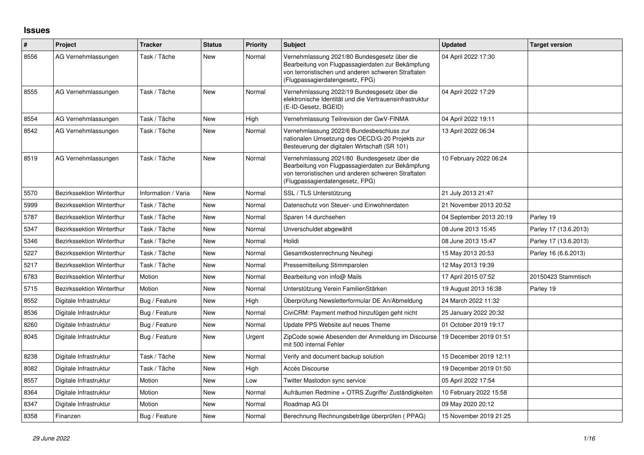## **Issues**

| #    | Project                          | <b>Tracker</b>      | <b>Status</b> | <b>Priority</b> | Subject                                                                                                                                                                                     | <b>Updated</b>          | <b>Target version</b> |
|------|----------------------------------|---------------------|---------------|-----------------|---------------------------------------------------------------------------------------------------------------------------------------------------------------------------------------------|-------------------------|-----------------------|
| 8556 | AG Vernehmlassungen              | Task / Tâche        | New           | Normal          | Vernehmlassung 2021/80 Bundesgesetz über die<br>Bearbeitung von Flugpassagierdaten zur Bekämpfung<br>von terroristischen und anderen schweren Straftaten<br>(Flugpassagierdatengesetz, FPG) | 04 April 2022 17:30     |                       |
| 8555 | AG Vernehmlassungen              | Task / Tâche        | New           | Normal          | Vernehmlassung 2022/19 Bundesgesetz über die<br>elektronische Identität und die Vertrauensinfrastruktur<br>(E-ID-Gesetz, BGEID)                                                             | 04 April 2022 17:29     |                       |
| 8554 | AG Vernehmlassungen              | Task / Tâche        | <b>New</b>    | High            | Vernehmlassung Teilrevision der GwV-FINMA                                                                                                                                                   | 04 April 2022 19:11     |                       |
| 8542 | AG Vernehmlassungen              | Task / Tâche        | New           | Normal          | Vernehmlassung 2022/6 Bundesbeschluss zur<br>nationalen Umsetzung des OECD/G-20 Projekts zur<br>Besteuerung der digitalen Wirtschaft (SR 101)                                               | 13 April 2022 06:34     |                       |
| 8519 | AG Vernehmlassungen              | Task / Tâche        | New           | Normal          | Vernehmlassung 2021/80 Bundesgesetz über die<br>Bearbeitung von Flugpassagierdaten zur Bekämpfung<br>von terroristischen und anderen schweren Straftaten<br>(Flugpassagierdatengesetz, FPG) | 10 February 2022 06:24  |                       |
| 5570 | <b>Bezirkssektion Winterthur</b> | Information / Varia | <b>New</b>    | Normal          | SSL / TLS Unterstützung                                                                                                                                                                     | 21 July 2013 21:47      |                       |
| 5999 | Bezirkssektion Winterthur        | Task / Tâche        | New           | Normal          | Datenschutz von Steuer- und Einwohnerdaten                                                                                                                                                  | 21 November 2013 20:52  |                       |
| 5787 | <b>Bezirkssektion Winterthur</b> | Task / Tâche        | New           | Normal          | Sparen 14 durchsehen                                                                                                                                                                        | 04 September 2013 20:19 | Parley 19             |
| 5347 | <b>Bezirkssektion Winterthur</b> | Task / Tâche        | New           | Normal          | Unverschuldet abgewählt                                                                                                                                                                     | 08 June 2013 15:45      | Parley 17 (13.6.2013) |
| 5346 | <b>Bezirkssektion Winterthur</b> | Task / Tâche        | New           | Normal          | Holidi                                                                                                                                                                                      | 08 June 2013 15:47      | Parley 17 (13.6.2013) |
| 5227 | <b>Bezirkssektion Winterthur</b> | Task / Tâche        | <b>New</b>    | Normal          | Gesamtkostenrechnung Neuhegi                                                                                                                                                                | 15 May 2013 20:53       | Parley 16 (6.6.2013)  |
| 5217 | <b>Bezirkssektion Winterthur</b> | Task / Tâche        | New           | Normal          | Pressemitteilung Stimmparolen                                                                                                                                                               | 12 May 2013 19:39       |                       |
| 6783 | <b>Bezirkssektion Winterthur</b> | Motion              | <b>New</b>    | Normal          | Bearbeitung von info@ Mails                                                                                                                                                                 | 17 April 2015 07:52     | 20150423 Stammtisch   |
| 5715 | <b>Bezirkssektion Winterthur</b> | Motion              | <b>New</b>    | Normal          | Unterstützung Verein FamilienStärken                                                                                                                                                        | 19 August 2013 16:38    | Parley 19             |
| 8552 | Digitale Infrastruktur           | Bug / Feature       | New           | High            | Überprüfung Newsletterformular DE An/Abmeldung                                                                                                                                              | 24 March 2022 11:32     |                       |
| 8536 | Digitale Infrastruktur           | Bug / Feature       | New           | Normal          | CiviCRM: Payment method hinzufügen geht nicht                                                                                                                                               | 25 January 2022 20:32   |                       |
| 8260 | Digitale Infrastruktur           | Bug / Feature       | <b>New</b>    | Normal          | Update PPS Website auf neues Theme                                                                                                                                                          | 01 October 2019 19:17   |                       |
| 8045 | Digitale Infrastruktur           | Bug / Feature       | New           | Urgent          | ZipCode sowie Abesenden der Anmeldung im Discourse<br>mit 500 internal Fehler                                                                                                               | 19 December 2019 01:51  |                       |
| 8238 | Digitale Infrastruktur           | Task / Tâche        | <b>New</b>    | Normal          | Verify and document backup solution                                                                                                                                                         | 15 December 2019 12:11  |                       |
| 8082 | Digitale Infrastruktur           | Task / Tâche        | New           | High            | Accès Discourse                                                                                                                                                                             | 19 December 2019 01:50  |                       |
| 8557 | Digitale Infrastruktur           | Motion              | <b>New</b>    | Low             | Twitter Mastodon sync service                                                                                                                                                               | 05 April 2022 17:54     |                       |
| 8364 | Digitale Infrastruktur           | Motion              | New           | Normal          | Aufräumen Redmine + OTRS Zugriffe/ Zuständigkeiten                                                                                                                                          | 10 February 2022 15:58  |                       |
| 8347 | Digitale Infrastruktur           | Motion              | New           | Normal          | Roadmap AG DI                                                                                                                                                                               | 09 May 2020 20:12       |                       |
| 8358 | Finanzen                         | Bug / Feature       | New           | Normal          | Berechnung Rechnungsbeträge überprüfen (PPAG)                                                                                                                                               | 15 November 2019 21:25  |                       |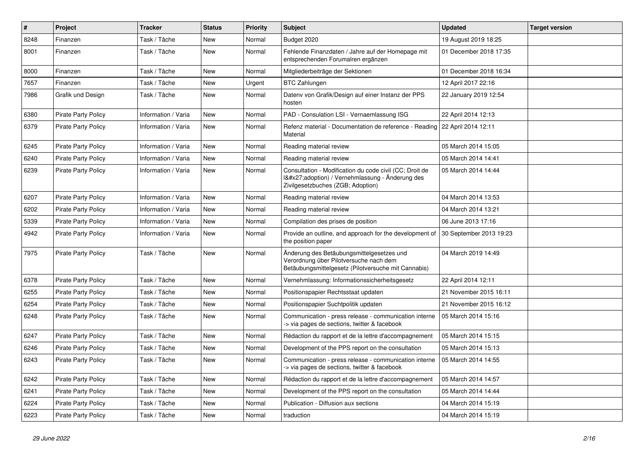| $\pmb{\#}$ | Project                    | <b>Tracker</b>      | <b>Status</b> | <b>Priority</b> | <b>Subject</b>                                                                                                                              | <b>Updated</b>          | <b>Target version</b> |
|------------|----------------------------|---------------------|---------------|-----------------|---------------------------------------------------------------------------------------------------------------------------------------------|-------------------------|-----------------------|
| 8248       | Finanzen                   | Task / Tâche        | New           | Normal          | Budget 2020                                                                                                                                 | 19 August 2019 18:25    |                       |
| 8001       | Finanzen                   | Task / Tâche        | <b>New</b>    | Normal          | Fehlende Finanzdaten / Jahre auf der Homepage mit<br>entsprechenden Forumalren ergänzen                                                     | 01 December 2018 17:35  |                       |
| 8000       | Finanzen                   | Task / Tâche        | New           | Normal          | Mitgliederbeiträge der Sektionen                                                                                                            | 01 December 2018 16:34  |                       |
| 7657       | Finanzen                   | Task / Tâche        | <b>New</b>    | Urgent          | <b>BTC Zahlungen</b>                                                                                                                        | 12 April 2017 22:16     |                       |
| 7986       | Grafik und Design          | Task / Tâche        | <b>New</b>    | Normal          | Datenv von Grafik/Design auf einer Instanz der PPS<br>hosten                                                                                | 22 January 2019 12:54   |                       |
| 6380       | <b>Pirate Party Policy</b> | Information / Varia | New           | Normal          | PAD - Consulation LSI - Vernaemlassung ISG                                                                                                  | 22 April 2014 12:13     |                       |
| 6379       | <b>Pirate Party Policy</b> | Information / Varia | New           | Normal          | Refenz material - Documentation de reference - Reading   22 April 2014 12:11<br>Material                                                    |                         |                       |
| 6245       | <b>Pirate Party Policy</b> | Information / Varia | <b>New</b>    | Normal          | Reading material review                                                                                                                     | 05 March 2014 15:05     |                       |
| 6240       | <b>Pirate Party Policy</b> | Information / Varia | <b>New</b>    | Normal          | Reading material review                                                                                                                     | 05 March 2014 14:41     |                       |
| 6239       | <b>Pirate Party Policy</b> | Information / Varia | <b>New</b>    | Normal          | Consultation - Modification du code civil (CC; Droit de<br>I'adoption) / Vernehmlassung - Änderung des<br>Zivilgesetzbuches (ZGB; Adoption) | 05 March 2014 14:44     |                       |
| 6207       | <b>Pirate Party Policy</b> | Information / Varia | <b>New</b>    | Normal          | Reading material review                                                                                                                     | 04 March 2014 13:53     |                       |
| 6202       | <b>Pirate Party Policy</b> | Information / Varia | New           | Normal          | Reading material review                                                                                                                     | 04 March 2014 13:21     |                       |
| 5339       | <b>Pirate Party Policy</b> | Information / Varia | <b>New</b>    | Normal          | Compilation des prises de position                                                                                                          | 06 June 2013 17:16      |                       |
| 4942       | <b>Pirate Party Policy</b> | Information / Varia | New           | Normal          | Provide an outline, and approach for the development of<br>the position paper                                                               | 30 September 2013 19:23 |                       |
| 7975       | <b>Pirate Party Policy</b> | Task / Tâche        | New           | Normal          | Änderung des Betäubungsmittelgesetzes und<br>Verordnung über Pilotversuche nach dem<br>Betäubungsmittelgesetz (Pilotversuche mit Cannabis)  | 04 March 2019 14:49     |                       |
| 6378       | <b>Pirate Party Policy</b> | Task / Tâche        | New           | Normal          | Vernehmlassung: Informationssicherheitsgesetz                                                                                               | 22 April 2014 12:11     |                       |
| 6255       | <b>Pirate Party Policy</b> | Task / Tâche        | <b>New</b>    | Normal          | Positionspapier Rechtsstaat updaten                                                                                                         | 21 November 2015 16:11  |                       |
| 6254       | <b>Pirate Party Policy</b> | Task / Tâche        | New           | Normal          | Positionspapier Suchtpolitik updaten                                                                                                        | 21 November 2015 16:12  |                       |
| 6248       | <b>Pirate Party Policy</b> | Task / Tâche        | New           | Normal          | Communication - press release - communication interne<br>-> via pages de sections, twitter & facebook                                       | 05 March 2014 15:16     |                       |
| 6247       | <b>Pirate Party Policy</b> | Task / Tâche        | <b>New</b>    | Normal          | Rédaction du rapport et de la lettre d'accompagnement                                                                                       | 05 March 2014 15:15     |                       |
| 6246       | <b>Pirate Party Policy</b> | Task / Tâche        | New           | Normal          | Development of the PPS report on the consultation                                                                                           | 05 March 2014 15:13     |                       |
| 6243       | <b>Pirate Party Policy</b> | Task / Tâche        | <b>New</b>    | Normal          | Communication - press release - communication interne<br>-> via pages de sections, twitter & facebook                                       | 05 March 2014 14:55     |                       |
| 6242       | <b>Pirate Party Policy</b> | Task / Tâche        | New           | Normal          | Rédaction du rapport et de la lettre d'accompagnement                                                                                       | 05 March 2014 14:57     |                       |
| 6241       | <b>Pirate Party Policy</b> | Task / Tâche        | New           | Normal          | Development of the PPS report on the consultation                                                                                           | 05 March 2014 14:44     |                       |
| 6224       | <b>Pirate Party Policy</b> | Task / Tâche        | New           | Normal          | Publication - Diffusion aux sections                                                                                                        | 04 March 2014 15:19     |                       |
| 6223       | <b>Pirate Party Policy</b> | Task / Tâche        | <b>New</b>    | Normal          | traduction                                                                                                                                  | 04 March 2014 15:19     |                       |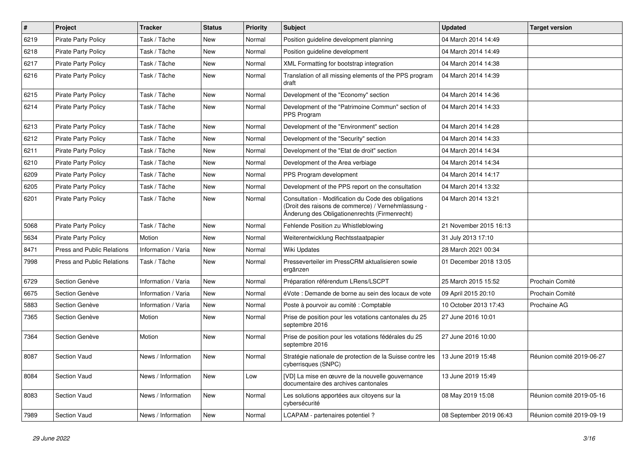| $\sharp$ | Project                           | <b>Tracker</b>      | <b>Status</b> | <b>Priority</b> | <b>Subject</b>                                                                                                                                             | <b>Updated</b>          | <b>Target version</b>     |
|----------|-----------------------------------|---------------------|---------------|-----------------|------------------------------------------------------------------------------------------------------------------------------------------------------------|-------------------------|---------------------------|
| 6219     | Pirate Party Policy               | Task / Tâche        | New           | Normal          | Position guideline development planning                                                                                                                    | 04 March 2014 14:49     |                           |
| 6218     | Pirate Party Policy               | Task / Tâche        | <b>New</b>    | Normal          | Position guideline development                                                                                                                             | 04 March 2014 14:49     |                           |
| 6217     | <b>Pirate Party Policy</b>        | Task / Tâche        | New           | Normal          | XML Formatting for bootstrap integration                                                                                                                   | 04 March 2014 14:38     |                           |
| 6216     | <b>Pirate Party Policy</b>        | Task / Tâche        | New           | Normal          | Translation of all missing elements of the PPS program<br>draft                                                                                            | 04 March 2014 14:39     |                           |
| 6215     | <b>Pirate Party Policy</b>        | Task / Tâche        | New           | Normal          | Development of the "Economy" section                                                                                                                       | 04 March 2014 14:36     |                           |
| 6214     | <b>Pirate Party Policy</b>        | Task / Tâche        | New           | Normal          | Development of the "Patrimoine Commun" section of<br>PPS Program                                                                                           | 04 March 2014 14:33     |                           |
| 6213     | <b>Pirate Party Policy</b>        | Task / Tâche        | New           | Normal          | Development of the "Environment" section                                                                                                                   | 04 March 2014 14:28     |                           |
| 6212     | Pirate Party Policy               | Task / Tâche        | <b>New</b>    | Normal          | Development of the "Security" section                                                                                                                      | 04 March 2014 14:33     |                           |
| 6211     | <b>Pirate Party Policy</b>        | Task / Tâche        | New           | Normal          | Development of the "Etat de droit" section                                                                                                                 | 04 March 2014 14:34     |                           |
| 6210     | <b>Pirate Party Policy</b>        | Task / Tâche        | New           | Normal          | Development of the Area verbiage                                                                                                                           | 04 March 2014 14:34     |                           |
| 6209     | <b>Pirate Party Policy</b>        | Task / Tâche        | New           | Normal          | PPS Program development                                                                                                                                    | 04 March 2014 14:17     |                           |
| 6205     | <b>Pirate Party Policy</b>        | Task / Tâche        | <b>New</b>    | Normal          | Development of the PPS report on the consultation                                                                                                          | 04 March 2014 13:32     |                           |
| 6201     | <b>Pirate Party Policy</b>        | Task / Tâche        | New           | Normal          | Consultation - Modification du Code des obligations<br>(Droit des raisons de commerce) / Vernehmlassung -<br>Änderung des Obligationenrechts (Firmenrecht) | 04 March 2014 13:21     |                           |
| 5068     | <b>Pirate Party Policy</b>        | Task / Tâche        | <b>New</b>    | Normal          | Fehlende Position zu Whistleblowing                                                                                                                        | 21 November 2015 16:13  |                           |
| 5634     | <b>Pirate Party Policy</b>        | Motion              | New           | Normal          | Weiterentwicklung Rechtsstaatpapier                                                                                                                        | 31 July 2013 17:10      |                           |
| 8471     | <b>Press and Public Relations</b> | Information / Varia | New           | Normal          | Wiki Updates                                                                                                                                               | 28 March 2021 00:34     |                           |
| 7998     | <b>Press and Public Relations</b> | Task / Tâche        | <b>New</b>    | Normal          | Presseverteiler im PressCRM aktualisieren sowie<br>ergänzen                                                                                                | 01 December 2018 13:05  |                           |
| 6729     | Section Genève                    | Information / Varia | <b>New</b>    | Normal          | Préparation référendum LRens/LSCPT                                                                                                                         | 25 March 2015 15:52     | Prochain Comité           |
| 6675     | Section Genève                    | Information / Varia | New           | Normal          | éVote : Demande de borne au sein des locaux de vote                                                                                                        | 09 April 2015 20:10     | Prochain Comité           |
| 5883     | Section Genève                    | Information / Varia | New           | Normal          | Poste à pourvoir au comité : Comptable                                                                                                                     | 10 October 2013 17:43   | Prochaine AG              |
| 7365     | Section Genève                    | Motion              | <b>New</b>    | Normal          | Prise de position pour les votations cantonales du 25<br>septembre 2016                                                                                    | 27 June 2016 10:01      |                           |
| 7364     | Section Genève                    | Motion              | New           | Normal          | Prise de position pour les votations fédérales du 25<br>septembre 2016                                                                                     | 27 June 2016 10:00      |                           |
| 8087     | Section Vaud                      | News / Information  | New           | Normal          | Stratégie nationale de protection de la Suisse contre les<br>cyberrisques (SNPC)                                                                           | 13 June 2019 15:48      | Réunion comité 2019-06-27 |
| 8084     | Section Vaud                      | News / Information  | New           | Low             | [VD] La mise en œuvre de la nouvelle gouvernance<br>documentaire des archives cantonales                                                                   | 13 June 2019 15:49      |                           |
| 8083     | Section Vaud                      | News / Information  | New           | Normal          | Les solutions apportées aux citoyens sur la<br>cybersécurité                                                                                               | 08 May 2019 15:08       | Réunion comité 2019-05-16 |
| 7989     | Section Vaud                      | News / Information  | New           | Normal          | LCAPAM - partenaires potentiel?                                                                                                                            | 08 September 2019 06:43 | Réunion comité 2019-09-19 |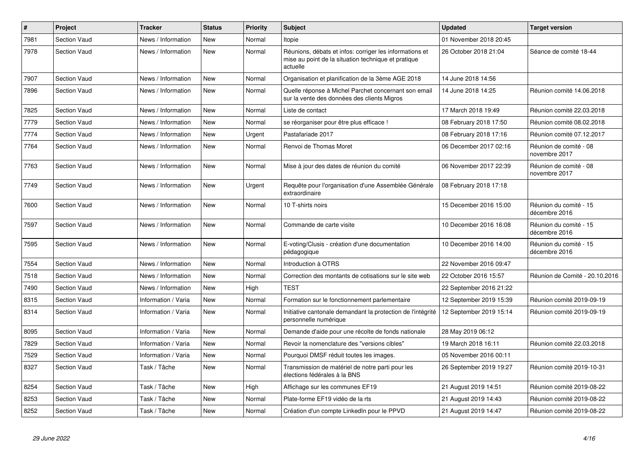| $\sharp$ | <b>Project</b>      | <b>Tracker</b>      | <b>Status</b> | <b>Priority</b> | <b>Subject</b>                                                                                                             | <b>Updated</b>          | <b>Target version</b>                   |
|----------|---------------------|---------------------|---------------|-----------------|----------------------------------------------------------------------------------------------------------------------------|-------------------------|-----------------------------------------|
| 7981     | Section Vaud        | News / Information  | New           | Normal          | Itopie                                                                                                                     | 01 November 2018 20:45  |                                         |
| 7978     | <b>Section Vaud</b> | News / Information  | <b>New</b>    | Normal          | Réunions, débats et infos: corriger les informations et<br>mise au point de la situation technique et pratique<br>actuelle | 26 October 2018 21:04   | Séance de comité 18-44                  |
| 7907     | <b>Section Vaud</b> | News / Information  | New           | Normal          | Organisation et planification de la 3ème AGE 2018                                                                          | 14 June 2018 14:56      |                                         |
| 7896     | <b>Section Vaud</b> | News / Information  | New           | Normal          | Quelle réponse à Michel Parchet concernant son email<br>sur la vente des données des clients Migros                        | 14 June 2018 14:25      | Réunion comité 14.06.2018               |
| 7825     | <b>Section Vaud</b> | News / Information  | <b>New</b>    | Normal          | Liste de contact                                                                                                           | 17 March 2018 19:49     | Réunion comité 22.03.2018               |
| 7779     | <b>Section Vaud</b> | News / Information  | New           | Normal          | se réorganiser pour être plus efficace !                                                                                   | 08 February 2018 17:50  | Réunion comité 08.02.2018               |
| 7774     | <b>Section Vaud</b> | News / Information  | New           | Urgent          | Pastafariade 2017                                                                                                          | 08 February 2018 17:16  | Réunion comité 07.12.2017               |
| 7764     | <b>Section Vaud</b> | News / Information  | New           | Normal          | Renvoi de Thomas Moret                                                                                                     | 06 December 2017 02:16  | Réunion de comité - 08<br>novembre 2017 |
| 7763     | Section Vaud        | News / Information  | New           | Normal          | Mise à jour des dates de réunion du comité                                                                                 | 06 November 2017 22:39  | Réunion de comité - 08<br>novembre 2017 |
| 7749     | <b>Section Vaud</b> | News / Information  | New           | Urgent          | Requête pour l'organisation d'une Assemblée Générale<br>extraordinaire                                                     | 08 February 2018 17:18  |                                         |
| 7600     | <b>Section Vaud</b> | News / Information  | <b>New</b>    | Normal          | 10 T-shirts noirs                                                                                                          | 15 December 2016 15:00  | Réunion du comité - 15<br>décembre 2016 |
| 7597     | <b>Section Vaud</b> | News / Information  | <b>New</b>    | Normal          | Commande de carte visite                                                                                                   | 10 December 2016 16:08  | Réunion du comité - 15<br>décembre 2016 |
| 7595     | <b>Section Vaud</b> | News / Information  | New           | Normal          | E-voting/Clusis - création d'une documentation<br>pédagogique                                                              | 10 December 2016 14:00  | Réunion du comité - 15<br>décembre 2016 |
| 7554     | <b>Section Vaud</b> | News / Information  | New           | Normal          | Introduction à OTRS                                                                                                        | 22 November 2016 09:47  |                                         |
| 7518     | <b>Section Vaud</b> | News / Information  | New           | Normal          | Correction des montants de cotisations sur le site web                                                                     | 22 October 2016 15:57   | Réunion de Comité - 20.10.2016          |
| 7490     | <b>Section Vaud</b> | News / Information  | New           | High            | <b>TEST</b>                                                                                                                | 22 September 2016 21:22 |                                         |
| 8315     | <b>Section Vaud</b> | Information / Varia | New           | Normal          | Formation sur le fonctionnement parlementaire                                                                              | 12 September 2019 15:39 | Réunion comité 2019-09-19               |
| 8314     | <b>Section Vaud</b> | Information / Varia | New           | Normal          | Initiative cantonale demandant la protection de l'intégrité<br>personnelle numérique                                       | 12 September 2019 15:14 | Réunion comité 2019-09-19               |
| 8095     | <b>Section Vaud</b> | Information / Varia | New           | Normal          | Demande d'aide pour une récolte de fonds nationale                                                                         | 28 May 2019 06:12       |                                         |
| 7829     | <b>Section Vaud</b> | Information / Varia | New           | Normal          | Revoir la nomenclature des "versions cibles"                                                                               | 19 March 2018 16:11     | Réunion comité 22.03.2018               |
| 7529     | Section Vaud        | Information / Varia | New           | Normal          | Pourquoi DMSF réduit toutes les images.                                                                                    | 05 November 2016 00:11  |                                         |
| 8327     | <b>Section Vaud</b> | Task / Tâche        | New           | Normal          | Transmission de matériel de notre parti pour les<br>élections fédérales à la BNS                                           | 26 September 2019 19:27 | Réunion comité 2019-10-31               |
| 8254     | <b>Section Vaud</b> | Task / Tâche        | New           | High            | Affichage sur les communes EF19                                                                                            | 21 August 2019 14:51    | Réunion comité 2019-08-22               |
| 8253     | <b>Section Vaud</b> | Task / Tâche        | New           | Normal          | Plate-forme EF19 vidéo de la rts                                                                                           | 21 August 2019 14:43    | Réunion comité 2019-08-22               |
| 8252     | <b>Section Vaud</b> | Task / Tâche        | New           | Normal          | Création d'un compte LinkedIn pour le PPVD                                                                                 | 21 August 2019 14:47    | Réunion comité 2019-08-22               |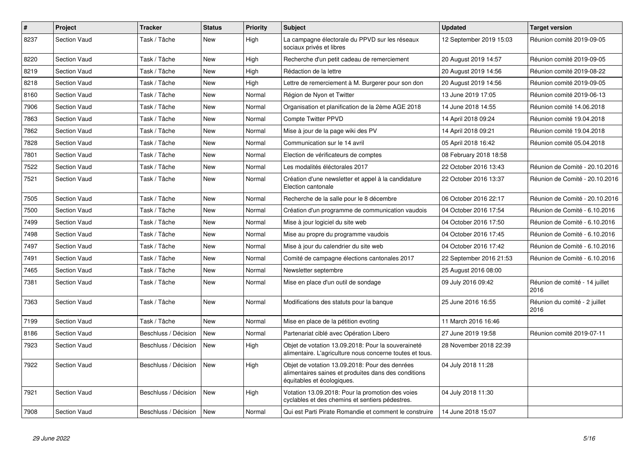| $\vert$ # | <b>Project</b>      | <b>Tracker</b>       | <b>Status</b> | <b>Priority</b> | <b>Subject</b>                                                                                                                       | <b>Updated</b>          | <b>Target version</b>                  |
|-----------|---------------------|----------------------|---------------|-----------------|--------------------------------------------------------------------------------------------------------------------------------------|-------------------------|----------------------------------------|
| 8237      | Section Vaud        | Task / Tâche         | <b>New</b>    | High            | La campagne électorale du PPVD sur les réseaux<br>sociaux privés et libres                                                           | 12 September 2019 15:03 | Réunion comité 2019-09-05              |
| 8220      | <b>Section Vaud</b> | Task / Tâche         | New           | High            | Recherche d'un petit cadeau de remerciement                                                                                          | 20 August 2019 14:57    | Réunion comité 2019-09-05              |
| 8219      | <b>Section Vaud</b> | Task / Tâche         | <b>New</b>    | High            | Rédaction de la lettre                                                                                                               | 20 August 2019 14:56    | Réunion comité 2019-08-22              |
| 8218      | Section Vaud        | Task / Tâche         | <b>New</b>    | High            | Lettre de remerciement à M. Burgerer pour son don                                                                                    | 20 August 2019 14:56    | Réunion comité 2019-09-05              |
| 8160      | <b>Section Vaud</b> | Task / Tâche         | <b>New</b>    | Normal          | Région de Nyon et Twitter                                                                                                            | 13 June 2019 17:05      | Réunion comité 2019-06-13              |
| 7906      | <b>Section Vaud</b> | Task / Tâche         | New           | Normal          | Organisation et planification de la 2ème AGE 2018                                                                                    | 14 June 2018 14:55      | Réunion comité 14.06.2018              |
| 7863      | Section Vaud        | Task / Tâche         | <b>New</b>    | Normal          | <b>Compte Twitter PPVD</b>                                                                                                           | 14 April 2018 09:24     | Réunion comité 19.04.2018              |
| 7862      | Section Vaud        | Task / Tâche         | <b>New</b>    | Normal          | Mise à jour de la page wiki des PV                                                                                                   | 14 April 2018 09:21     | Réunion comité 19.04.2018              |
| 7828      | Section Vaud        | Task / Tâche         | New           | Normal          | Communication sur le 14 avril                                                                                                        | 05 April 2018 16:42     | Réunion comité 05.04.2018              |
| 7801      | Section Vaud        | Task / Tâche         | <b>New</b>    | Normal          | Election de vérificateurs de comptes                                                                                                 | 08 February 2018 18:58  |                                        |
| 7522      | Section Vaud        | Task / Tâche         | <b>New</b>    | Normal          | Les modalités éléctorales 2017                                                                                                       | 22 October 2016 13:43   | Réunion de Comité - 20.10.2016         |
| 7521      | Section Vaud        | Task / Tâche         | <b>New</b>    | Normal          | Création d'une newsletter et appel à la candidature<br>Election cantonale                                                            | 22 October 2016 13:37   | Réunion de Comité - 20.10.2016         |
| 7505      | Section Vaud        | Task / Tâche         | New           | Normal          | Recherche de la salle pour le 8 décembre                                                                                             | 06 October 2016 22:17   | Réunion de Comité - 20.10.2016         |
| 7500      | Section Vaud        | Task / Tâche         | <b>New</b>    | Normal          | Création d'un programme de communication vaudois                                                                                     | 04 October 2016 17:54   | Réunion de Comité - 6.10.2016          |
| 7499      | <b>Section Vaud</b> | Task / Tâche         | New           | Normal          | Mise à jour logiciel du site web                                                                                                     | 04 October 2016 17:50   | Réunion de Comité - 6.10.2016          |
| 7498      | Section Vaud        | Task / Tâche         | New           | Normal          | Mise au propre du programme vaudois                                                                                                  | 04 October 2016 17:45   | Réunion de Comité - 6.10.2016          |
| 7497      | <b>Section Vaud</b> | Task / Tâche         | <b>New</b>    | Normal          | Mise à jour du calendrier du site web                                                                                                | 04 October 2016 17:42   | Réunion de Comité - 6.10.2016          |
| 7491      | Section Vaud        | Task / Tâche         | <b>New</b>    | Normal          | Comité de campagne élections cantonales 2017                                                                                         | 22 September 2016 21:53 | Réunion de Comité - 6.10.2016          |
| 7465      | Section Vaud        | Task / Tâche         | <b>New</b>    | Normal          | Newsletter septembre                                                                                                                 | 25 August 2016 08:00    |                                        |
| 7381      | Section Vaud        | Task / Tâche         | New           | Normal          | Mise en place d'un outil de sondage                                                                                                  | 09 July 2016 09:42      | Réunion de comité - 14 juillet<br>2016 |
| 7363      | Section Vaud        | Task / Tâche         | <b>New</b>    | Normal          | Modifications des statuts pour la banque                                                                                             | 25 June 2016 16:55      | Réunion du comité - 2 juillet<br>2016  |
| 7199      | <b>Section Vaud</b> | Task / Tâche         | <b>New</b>    | Normal          | Mise en place de la pétition evoting                                                                                                 | 11 March 2016 16:46     |                                        |
| 8186      | <b>Section Vaud</b> | Beschluss / Décision | <b>New</b>    | Normal          | Partenariat ciblé avec Opération Libero                                                                                              | 27 June 2019 19:58      | Réunion comité 2019-07-11              |
| 7923      | <b>Section Vaud</b> | Beschluss / Décision | New           | High            | Objet de votation 13.09.2018: Pour la souveraineté<br>alimentaire. L'agriculture nous concerne toutes et tous.                       | 28 November 2018 22:39  |                                        |
| 7922      | Section Vaud        | Beschluss / Décision | <b>New</b>    | High            | Objet de votation 13.09.2018: Pour des denrées<br>alimentaires saines et produites dans des conditions<br>équitables et écologiques. | 04 July 2018 11:28      |                                        |
| 7921      | Section Vaud        | Beschluss / Décision | <b>New</b>    | High            | Votation 13.09.2018: Pour la promotion des voies<br>cyclables et des chemins et sentiers pédestres.                                  | 04 July 2018 11:30      |                                        |
| 7908      | Section Vaud        | Beschluss / Décision | New           | Normal          | Qui est Parti Pirate Romandie et comment le construire                                                                               | 14 June 2018 15:07      |                                        |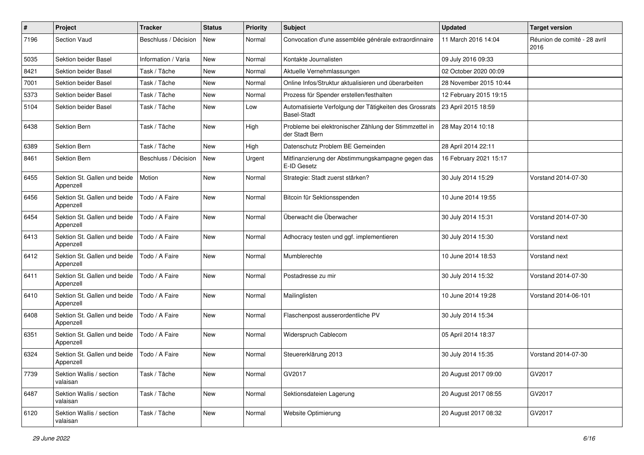| $\pmb{\#}$ | Project                                   | <b>Tracker</b>       | <b>Status</b> | <b>Priority</b> | <b>Subject</b>                                                                | <b>Updated</b>         | <b>Target version</b>                |
|------------|-------------------------------------------|----------------------|---------------|-----------------|-------------------------------------------------------------------------------|------------------------|--------------------------------------|
| 7196       | Section Vaud                              | Beschluss / Décision | <b>New</b>    | Normal          | Convocation d'une assemblée générale extraordinnaire                          | 11 March 2016 14:04    | Réunion de comité - 28 avril<br>2016 |
| 5035       | Sektion beider Basel                      | Information / Varia  | New           | Normal          | Kontakte Journalisten                                                         | 09 July 2016 09:33     |                                      |
| 8421       | Sektion beider Basel                      | Task / Tâche         | <b>New</b>    | Normal          | Aktuelle Vernehmlassungen                                                     | 02 October 2020 00:09  |                                      |
| 7001       | Sektion beider Basel                      | Task / Tâche         | <b>New</b>    | Normal          | Online Infos/Struktur aktualisieren und überarbeiten                          | 28 November 2015 10:44 |                                      |
| 5373       | Sektion beider Basel                      | Task / Tâche         | <b>New</b>    | Normal          | Prozess für Spender erstellen/festhalten                                      | 12 February 2015 19:15 |                                      |
| 5104       | Sektion beider Basel                      | Task / Tâche         | <b>New</b>    | Low             | Automatisierte Verfolgung der Tätigkeiten des Grossrats<br><b>Basel-Stadt</b> | 23 April 2015 18:59    |                                      |
| 6438       | Sektion Bern                              | Task / Tâche         | <b>New</b>    | High            | Probleme bei elektronischer Zählung der Stimmzettel in<br>der Stadt Bern      | 28 May 2014 10:18      |                                      |
| 6389       | Sektion Bern                              | Task / Tâche         | <b>New</b>    | High            | Datenschutz Problem BE Gemeinden                                              | 28 April 2014 22:11    |                                      |
| 8461       | Sektion Bern                              | Beschluss / Décision | <b>New</b>    | Urgent          | Mitfinanzierung der Abstimmungskampagne gegen das<br>E-ID Gesetz              | 16 February 2021 15:17 |                                      |
| 6455       | Sektion St. Gallen und beide<br>Appenzell | Motion               | <b>New</b>    | Normal          | Strategie: Stadt zuerst stärken?                                              | 30 July 2014 15:29     | Vorstand 2014-07-30                  |
| 6456       | Sektion St. Gallen und beide<br>Appenzell | Todo / A Faire       | <b>New</b>    | Normal          | Bitcoin für Sektionsspenden                                                   | 10 June 2014 19:55     |                                      |
| 6454       | Sektion St. Gallen und beide<br>Appenzell | Todo / A Faire       | <b>New</b>    | Normal          | Überwacht die Überwacher                                                      | 30 July 2014 15:31     | Vorstand 2014-07-30                  |
| 6413       | Sektion St. Gallen und beide<br>Appenzell | Todo / A Faire       | <b>New</b>    | Normal          | Adhocracy testen und ggf. implementieren                                      | 30 July 2014 15:30     | Vorstand next                        |
| 6412       | Sektion St. Gallen und beide<br>Appenzell | Todo / A Faire       | <b>New</b>    | Normal          | Mumblerechte                                                                  | 10 June 2014 18:53     | Vorstand next                        |
| 6411       | Sektion St. Gallen und beide<br>Appenzell | Todo / A Faire       | <b>New</b>    | Normal          | Postadresse zu mir                                                            | 30 July 2014 15:32     | Vorstand 2014-07-30                  |
| 6410       | Sektion St. Gallen und beide<br>Appenzell | Todo / A Faire       | New           | Normal          | Mailinglisten                                                                 | 10 June 2014 19:28     | Vorstand 2014-06-101                 |
| 6408       | Sektion St. Gallen und beide<br>Appenzell | Todo / A Faire       | <b>New</b>    | Normal          | Flaschenpost ausserordentliche PV                                             | 30 July 2014 15:34     |                                      |
| 6351       | Sektion St. Gallen und beide<br>Appenzell | Todo / A Faire       | <b>New</b>    | Normal          | Widerspruch Cablecom                                                          | 05 April 2014 18:37    |                                      |
| 6324       | Sektion St. Gallen und beide<br>Appenzell | Todo / A Faire       | <b>New</b>    | Normal          | Steuererklärung 2013                                                          | 30 July 2014 15:35     | Vorstand 2014-07-30                  |
| 7739       | Sektion Wallis / section<br>valaisan      | Task / Tâche         | New           | Normal          | GV2017                                                                        | 20 August 2017 09:00   | GV2017                               |
| 6487       | Sektion Wallis / section<br>valaisan      | Task / Tâche         | New           | Normal          | Sektionsdateien Lagerung                                                      | 20 August 2017 08:55   | GV2017                               |
| 6120       | Sektion Wallis / section<br>valaisan      | Task / Tâche         | New           | Normal          | Website Optimierung                                                           | 20 August 2017 08:32   | GV2017                               |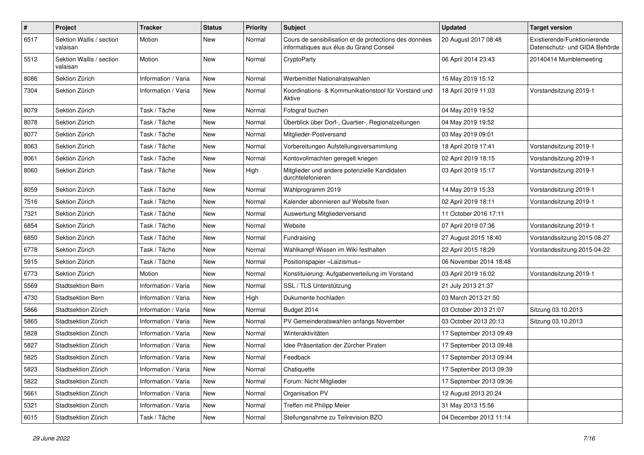| $\pmb{\#}$ | Project                              | <b>Tracker</b>      | <b>Status</b> | <b>Priority</b> | <b>Subject</b>                                                                                    | <b>Updated</b>          | <b>Target version</b>                                         |
|------------|--------------------------------------|---------------------|---------------|-----------------|---------------------------------------------------------------------------------------------------|-------------------------|---------------------------------------------------------------|
| 6517       | Sektion Wallis / section<br>valaisan | Motion              | New           | Normal          | Cours de sensibilisation et de protections des données<br>informatiques aux élus du Grand Conseil | 20 August 2017 08:48    | Existierende/Funktionierende<br>Datenschutz- und GIDA Behörde |
| 5512       | Sektion Wallis / section<br>valaisan | Motion              | New           | Normal          | CryptoParty                                                                                       | 06 April 2014 23:43     | 20140414 Mumblemeeting                                        |
| 8086       | Sektion Zürich                       | Information / Varia | <b>New</b>    | Normal          | Werbemittel Nationalratswahlen                                                                    | 16 May 2019 15:12       |                                                               |
| 7304       | Sektion Zürich                       | Information / Varia | New           | Normal          | Koordinations- & Kommunikationstool für Vorstand und<br>Aktive                                    | 18 April 2019 11:03     | Vorstandsitzung 2019-1                                        |
| 8079       | Sektion Zürich                       | Task / Tâche        | New           | Normal          | Fotograf buchen                                                                                   | 04 May 2019 19:52       |                                                               |
| 8078       | Sektion Zürich                       | Task / Tâche        | <b>New</b>    | Normal          | Überblick über Dorf-, Quartier-, Regionalzeitungen                                                | 04 May 2019 19:52       |                                                               |
| 8077       | Sektion Zürich                       | Task / Tâche        | <b>New</b>    | Normal          | Mitglieder-Postversand                                                                            | 03 May 2019 09:01       |                                                               |
| 8063       | Sektion Zürich                       | Task / Tâche        | New           | Normal          | Vorbereitungen Aufstellungsversammlung                                                            | 18 April 2019 17:41     | Vorstandsitzung 2019-1                                        |
| 8061       | Sektion Zürich                       | Task / Tâche        | New           | Normal          | Kontovollmachten geregelt kriegen                                                                 | 02 April 2019 18:15     | Vorstandsitzung 2019-1                                        |
| 8060       | Sektion Zürich                       | Task / Tâche        | <b>New</b>    | High            | Mitglieder und andere potenzielle Kandidaten<br>durchtelefonieren                                 | 03 April 2019 15:17     | Vorstandsitzung 2019-1                                        |
| 8059       | Sektion Zürich                       | Task / Tâche        | <b>New</b>    | Normal          | Wahlprogramm 2019                                                                                 | 14 May 2019 15:33       | Vorstandsitzung 2019-1                                        |
| 7516       | Sektion Zürich                       | Task / Tâche        | New           | Normal          | Kalender abonnieren auf Website fixen                                                             | 02 April 2019 18:11     | Vorstandsitzung 2019-1                                        |
| 7321       | Sektion Zürich                       | Task / Tâche        | <b>New</b>    | Normal          | Auswertung Mitgliederversand                                                                      | 11 October 2016 17:11   |                                                               |
| 6854       | Sektion Zürich                       | Task / Tâche        | <b>New</b>    | Normal          | Website                                                                                           | 07 April 2019 07:36     | Vorstandsitzung 2019-1                                        |
| 6850       | Sektion Zürich                       | Task / Tâche        | New           | Normal          | Fundraising                                                                                       | 27 August 2015 18:40    | Vorstandssitzung 2015-08-27                                   |
| 6778       | Sektion Zürich                       | Task / Tâche        | New           | Normal          | Wahlkampf-Wissen im Wiki festhalten                                                               | 22 April 2015 18:29     | Vorstandssitzung 2015-04-22                                   |
| 5915       | Sektion Zürich                       | Task / Tâche        | <b>New</b>    | Normal          | Positionspapier «Laizismus»                                                                       | 06 November 2014 18:48  |                                                               |
| 6773       | Sektion Zürich                       | Motion              | <b>New</b>    | Normal          | Konstituierung: Aufgabenverteilung im Vorstand                                                    | 03 April 2019 16:02     | Vorstandsitzung 2019-1                                        |
| 5569       | <b>Stadtsektion Bern</b>             | Information / Varia | <b>New</b>    | Normal          | SSL / TLS Unterstützung                                                                           | 21 July 2013 21:37      |                                                               |
| 4730       | Stadtsektion Bern                    | Information / Varia | New           | High            | Dukumente hochladen                                                                               | 03 March 2013 21:50     |                                                               |
| 5866       | Stadtsektion Zürich                  | Information / Varia | New           | Normal          | Budget 2014                                                                                       | 03 October 2013 21:07   | Sitzung 03.10.2013                                            |
| 5865       | Stadtsektion Zürich                  | Information / Varia | <b>New</b>    | Normal          | PV Gemeinderatswahlen anfangs November                                                            | 03 October 2013 20:13   | Sitzung 03.10.2013                                            |
| 5828       | Stadtsektion Zürich                  | Information / Varia | <b>New</b>    | Normal          | Winteraktivitäten                                                                                 | 17 September 2013 09:49 |                                                               |
| 5827       | Stadtsektion Zürich                  | Information / Varia | New           | Normal          | Idee Präsentation der Zürcher Piraten                                                             | 17 September 2013 09:48 |                                                               |
| 5825       | Stadtsektion Zürich                  | Information / Varia | New           | Normal          | Feedback                                                                                          | 17 September 2013 09:44 |                                                               |
| 5823       | Stadtsektion Zürich                  | Information / Varia | New           | Normal          | Chatiquette                                                                                       | 17 September 2013 09:39 |                                                               |
| 5822       | Stadtsektion Zürich                  | Information / Varia | New           | Normal          | Forum: Nicht Mitglieder                                                                           | 17 September 2013 09:36 |                                                               |
| 5661       | Stadtsektion Zürich                  | Information / Varia | New           | Normal          | Organisation PV                                                                                   | 12 August 2013 20:24    |                                                               |
| 5321       | Stadtsektion Zürich                  | Information / Varia | New           | Normal          | Treffen mit Philipp Meier                                                                         | 31 May 2013 15:56       |                                                               |
| 6015       | Stadtsektion Zürich                  | Task / Tâche        | New           | Normal          | Stellungsnahme zu Teilrevision BZO                                                                | 04 December 2013 11:14  |                                                               |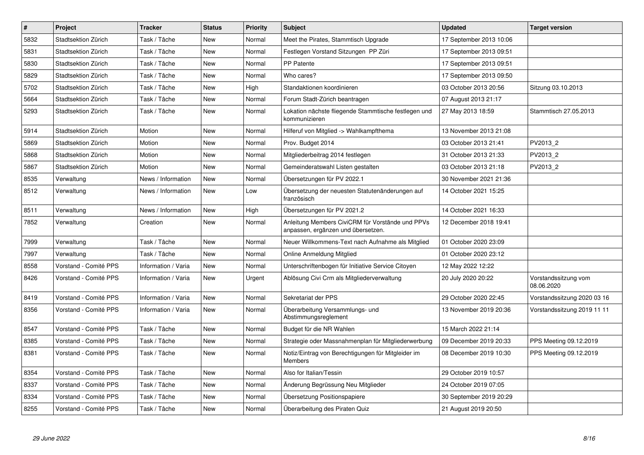| $\sharp$ | Project               | <b>Tracker</b>      | <b>Status</b> | <b>Priority</b> | <b>Subject</b>                                                                         | <b>Updated</b>          | <b>Target version</b>              |
|----------|-----------------------|---------------------|---------------|-----------------|----------------------------------------------------------------------------------------|-------------------------|------------------------------------|
| 5832     | Stadtsektion Zürich   | Task / Tâche        | <b>New</b>    | Normal          | Meet the Pirates, Stammtisch Upgrade                                                   | 17 September 2013 10:06 |                                    |
| 5831     | Stadtsektion Zürich   | Task / Tâche        | <b>New</b>    | Normal          | Festlegen Vorstand Sitzungen PP Züri                                                   | 17 September 2013 09:51 |                                    |
| 5830     | Stadtsektion Zürich   | Task / Tâche        | <b>New</b>    | Normal          | <b>PP Patente</b>                                                                      | 17 September 2013 09:51 |                                    |
| 5829     | Stadtsektion Zürich   | Task / Tâche        | <b>New</b>    | Normal          | Who cares?                                                                             | 17 September 2013 09:50 |                                    |
| 5702     | Stadtsektion Zürich   | Task / Tâche        | New           | High            | Standaktionen koordinieren                                                             | 03 October 2013 20:56   | Sitzung 03.10.2013                 |
| 5664     | Stadtsektion Zürich   | Task / Tâche        | New           | Normal          | Forum Stadt-Zürich beantragen                                                          | 07 August 2013 21:17    |                                    |
| 5293     | Stadtsektion Zürich   | Task / Tâche        | New           | Normal          | Lokation nächste fliegende Stammtische festlegen und<br>kommunizieren                  | 27 May 2013 18:59       | Stammtisch 27.05.2013              |
| 5914     | Stadtsektion Zürich   | Motion              | New           | Normal          | Hilferuf von Mitglied -> Wahlkampfthema                                                | 13 November 2013 21:08  |                                    |
| 5869     | Stadtsektion Zürich   | Motion              | New           | Normal          | Prov. Budget 2014                                                                      | 03 October 2013 21:41   | PV2013 2                           |
| 5868     | Stadtsektion Zürich   | Motion              | New           | Normal          | Mitgliederbeitrag 2014 festlegen                                                       | 31 October 2013 21:33   | PV2013 2                           |
| 5867     | Stadtsektion Zürich   | Motion              | New           | Normal          | Gemeinderatswahl Listen gestalten                                                      | 03 October 2013 21:18   | PV2013 2                           |
| 8535     | Verwaltung            | News / Information  | <b>New</b>    | Normal          | Übersetzungen für PV 2022.1                                                            | 30 November 2021 21:36  |                                    |
| 8512     | Verwaltung            | News / Information  | New           | Low             | Übersetzung der neuesten Statutenänderungen auf<br>französisch                         | 14 October 2021 15:25   |                                    |
| 8511     | Verwaltung            | News / Information  | <b>New</b>    | High            | Übersetzungen für PV 2021.2                                                            | 14 October 2021 16:33   |                                    |
| 7852     | Verwaltung            | Creation            | New           | Normal          | Anleitung Members CiviCRM für Vorstände und PPVs<br>anpassen, ergänzen und übersetzen. | 12 December 2018 19:41  |                                    |
| 7999     | Verwaltung            | Task / Tâche        | <b>New</b>    | Normal          | Neuer Willkommens-Text nach Aufnahme als Mitglied                                      | 01 October 2020 23:09   |                                    |
| 7997     | Verwaltung            | Task / Tâche        | New           | Normal          | Online Anmeldung Mitglied                                                              | 01 October 2020 23:12   |                                    |
| 8558     | Vorstand - Comité PPS | Information / Varia | New           | Normal          | Unterschriftenbogen für Initiative Service Citoyen                                     | 12 May 2022 12:22       |                                    |
| 8426     | Vorstand - Comité PPS | Information / Varia | <b>New</b>    | Urgent          | Ablösung Civi Crm als Mitgliederverwaltung                                             | 20 July 2020 20:22      | Vorstandssitzung vom<br>08.06.2020 |
| 8419     | Vorstand - Comité PPS | Information / Varia | New           | Normal          | Sekretariat der PPS                                                                    | 29 October 2020 22:45   | Vorstandssitzung 2020 03 16        |
| 8356     | Vorstand - Comité PPS | Information / Varia | New           | Normal          | Überarbeitung Versammlungs- und<br>Abstimmungsreglement                                | 13 November 2019 20:36  | Vorstandssitzung 2019 11 11        |
| 8547     | Vorstand - Comité PPS | Task / Tâche        | <b>New</b>    | Normal          | Budget für die NR Wahlen                                                               | 15 March 2022 21:14     |                                    |
| 8385     | Vorstand - Comité PPS | Task / Tâche        | <b>New</b>    | Normal          | Strategie oder Massnahmenplan für Mitgliederwerbung                                    | 09 December 2019 20:33  | PPS Meeting 09.12.2019             |
| 8381     | Vorstand - Comité PPS | Task / Tâche        | New           | Normal          | Notiz/Eintrag von Berechtigungen für Mitgleider im<br><b>Members</b>                   | 08 December 2019 10:30  | PPS Meeting 09.12.2019             |
| 8354     | Vorstand - Comité PPS | Task / Tâche        | <b>New</b>    | Normal          | Also for Italian/Tessin                                                                | 29 October 2019 10:57   |                                    |
| 8337     | Vorstand - Comité PPS | Task / Tâche        | <b>New</b>    | Normal          | Änderung Begrüssung Neu Mitglieder                                                     | 24 October 2019 07:05   |                                    |
| 8334     | Vorstand - Comité PPS | Task / Tâche        | New           | Normal          | Übersetzung Positionspapiere                                                           | 30 September 2019 20:29 |                                    |
| 8255     | Vorstand - Comité PPS | Task / Tâche        | <b>New</b>    | Normal          | Überarbeitung des Piraten Quiz                                                         | 21 August 2019 20:50    |                                    |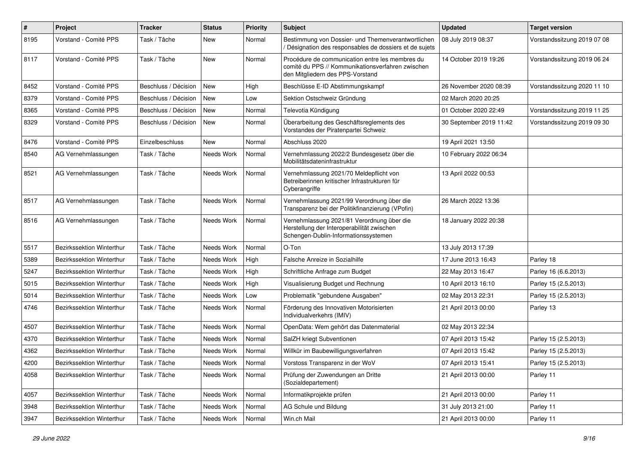| $\#$ | Project                          | <b>Tracker</b>       | <b>Status</b> | <b>Priority</b> | <b>Subject</b>                                                                                                                           | <b>Updated</b>          | <b>Target version</b>       |
|------|----------------------------------|----------------------|---------------|-----------------|------------------------------------------------------------------------------------------------------------------------------------------|-------------------------|-----------------------------|
| 8195 | Vorstand - Comité PPS            | Task / Tâche         | New           | Normal          | Bestimmung von Dossier- und Themenverantwortlichen<br>Désignation des responsables de dossiers et de sujets                              | 08 July 2019 08:37      | Vorstandssitzung 2019 07 08 |
| 8117 | Vorstand - Comité PPS            | Task / Tâche         | New           | Normal          | Procédure de communication entre les membres du<br>comité du PPS // Kommunikationsverfahren zwischen<br>den Mitgliedern des PPS-Vorstand | 14 October 2019 19:26   | Vorstandssitzung 2019 06 24 |
| 8452 | Vorstand - Comité PPS            | Beschluss / Décision | New           | High            | Beschlüsse E-ID Abstimmungskampf                                                                                                         | 26 November 2020 08:39  | Vorstandssitzung 2020 11 10 |
| 8379 | Vorstand - Comité PPS            | Beschluss / Décision | New           | Low             | Sektion Ostschweiz Gründung                                                                                                              | 02 March 2020 20:25     |                             |
| 8365 | Vorstand - Comité PPS            | Beschluss / Décision | New           | Normal          | Televotia Kündigung                                                                                                                      | 01 October 2020 22:49   | Vorstandssitzung 2019 11 25 |
| 8329 | Vorstand - Comité PPS            | Beschluss / Décision | New           | Normal          | Überarbeitung des Geschäftsreglements des<br>Vorstandes der Piratenpartei Schweiz                                                        | 30 September 2019 11:42 | Vorstandssitzung 2019 09 30 |
| 8476 | Vorstand - Comité PPS            | Einzelbeschluss      | New           | Normal          | Abschluss 2020                                                                                                                           | 19 April 2021 13:50     |                             |
| 8540 | AG Vernehmlassungen              | Task / Tâche         | Needs Work    | Normal          | Vernehmlassung 2022/2 Bundesgesetz über die<br>Mobilitätsdateninfrastruktur                                                              | 10 February 2022 06:34  |                             |
| 8521 | AG Vernehmlassungen              | Task / Tâche         | Needs Work    | Normal          | Vernehmlassung 2021/70 Meldepflicht von<br>Betreiberinnen kritischer Infrastrukturen für<br>Cyberangriffe                                | 13 April 2022 00:53     |                             |
| 8517 | AG Vernehmlassungen              | Task / Tâche         | Needs Work    | Normal          | Vernehmlassung 2021/99 Verordnung über die<br>Transparenz bei der Politikfinanzierung (VPofin)                                           | 26 March 2022 13:36     |                             |
| 8516 | AG Vernehmlassungen              | Task / Tâche         | Needs Work    | Normal          | Vernehmlassung 2021/81 Verordnung über die<br>Herstellung der Interoperabilität zwischen<br>Schengen-Dublin-Informationssystemen         | 18 January 2022 20:38   |                             |
| 5517 | <b>Bezirkssektion Winterthur</b> | Task / Tâche         | Needs Work    | Normal          | O-Ton                                                                                                                                    | 13 July 2013 17:39      |                             |
| 5389 | Bezirkssektion Winterthur        | Task / Tâche         | Needs Work    | High            | Falsche Anreize in Sozialhilfe                                                                                                           | 17 June 2013 16:43      | Parley 18                   |
| 5247 | Bezirkssektion Winterthur        | Task / Tâche         | Needs Work    | High            | Schriftliche Anfrage zum Budget                                                                                                          | 22 May 2013 16:47       | Parley 16 (6.6.2013)        |
| 5015 | Bezirkssektion Winterthur        | Task / Tâche         | Needs Work    | High            | Visualisierung Budget und Rechnung                                                                                                       | 10 April 2013 16:10     | Parley 15 (2.5.2013)        |
| 5014 | Bezirkssektion Winterthur        | Task / Tâche         | Needs Work    | Low             | Problematik "gebundene Ausgaben"                                                                                                         | 02 May 2013 22:31       | Parley 15 (2.5.2013)        |
| 4746 | Bezirkssektion Winterthur        | Task / Tâche         | Needs Work    | Normal          | Förderung des Innovativen Motorisierten<br>Individualverkehrs (IMIV)                                                                     | 21 April 2013 00:00     | Parley 13                   |
| 4507 | <b>Bezirkssektion Winterthur</b> | Task / Tâche         | Needs Work    | Normal          | OpenData: Wem gehört das Datenmaterial                                                                                                   | 02 May 2013 22:34       |                             |
| 4370 | <b>Bezirkssektion Winterthur</b> | Task / Tâche         | Needs Work    | Normal          | SalZH kriegt Subventionen                                                                                                                | 07 April 2013 15:42     | Parley 15 (2.5.2013)        |
| 4362 | Bezirkssektion Winterthur        | Task / Tâche         | Needs Work    | Normal          | Willkür im Baubewilligungsverfahren                                                                                                      | 07 April 2013 15:42     | Parley 15 (2.5.2013)        |
| 4200 | Bezirkssektion Winterthur        | Task / Tâche         | Needs Work    | Normal          | Vorstoss Transparenz in der WoV                                                                                                          | 07 April 2013 15:41     | Parley 15 (2.5.2013)        |
| 4058 | Bezirkssektion Winterthur        | Task / Tâche         | Needs Work    | Normal          | Prüfung der Zuwendungen an Dritte<br>(Sozialdepartement)                                                                                 | 21 April 2013 00:00     | Parley 11                   |
| 4057 | <b>Bezirkssektion Winterthur</b> | Task / Tâche         | Needs Work    | Normal          | Informatikprojekte prüfen                                                                                                                | 21 April 2013 00:00     | Parley 11                   |
| 3948 | Bezirkssektion Winterthur        | Task / Tâche         | Needs Work    | Normal          | AG Schule und Bildung                                                                                                                    | 31 July 2013 21:00      | Parley 11                   |
| 3947 | Bezirkssektion Winterthur        | Task / Tâche         | Needs Work    | Normal          | Win.ch Mail                                                                                                                              | 21 April 2013 00:00     | Parley 11                   |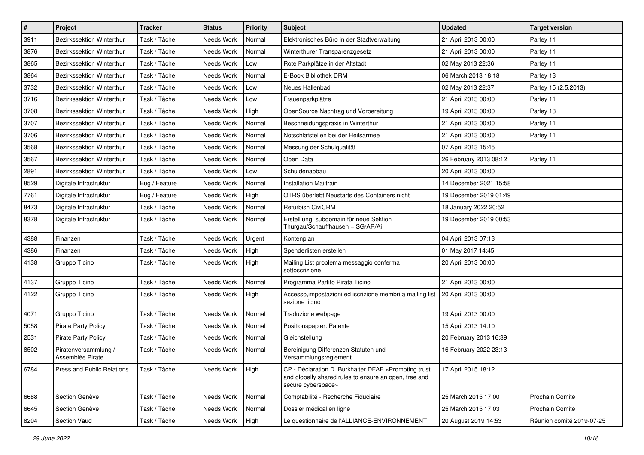| $\pmb{\#}$ | Project                                  | <b>Tracker</b> | <b>Status</b> | <b>Priority</b> | <b>Subject</b>                                                                                                                      | <b>Updated</b>         | <b>Target version</b>     |
|------------|------------------------------------------|----------------|---------------|-----------------|-------------------------------------------------------------------------------------------------------------------------------------|------------------------|---------------------------|
| 3911       | Bezirkssektion Winterthur                | Task / Tâche   | Needs Work    | Normal          | Elektronisches Büro in der Stadtverwaltung                                                                                          | 21 April 2013 00:00    | Parley 11                 |
| 3876       | Bezirkssektion Winterthur                | Task / Tâche   | Needs Work    | Normal          | Winterthurer Transparenzgesetz                                                                                                      | 21 April 2013 00:00    | Parley 11                 |
| 3865       | Bezirkssektion Winterthur                | Task / Tâche   | Needs Work    | Low             | Rote Parkplätze in der Altstadt                                                                                                     | 02 May 2013 22:36      | Parley 11                 |
| 3864       | Bezirkssektion Winterthur                | Task / Tâche   | Needs Work    | Normal          | E-Book Bibliothek DRM                                                                                                               | 06 March 2013 18:18    | Parley 13                 |
| 3732       | Bezirkssektion Winterthur                | Task / Tâche   | Needs Work    | Low             | Neues Hallenbad                                                                                                                     | 02 May 2013 22:37      | Parley 15 (2.5.2013)      |
| 3716       | Bezirkssektion Winterthur                | Task / Tâche   | Needs Work    | Low             | Frauenparkplätze                                                                                                                    | 21 April 2013 00:00    | Parley 11                 |
| 3708       | Bezirkssektion Winterthur                | Task / Tâche   | Needs Work    | High            | OpenSource Nachtrag und Vorbereitung                                                                                                | 19 April 2013 00:00    | Parley 13                 |
| 3707       | Bezirkssektion Winterthur                | Task / Tâche   | Needs Work    | Normal          | Beschneidungspraxis in Winterthur                                                                                                   | 21 April 2013 00:00    | Parley 11                 |
| 3706       | Bezirkssektion Winterthur                | Task / Tâche   | Needs Work    | Normal          | Notschlafstellen bei der Heilsarmee                                                                                                 | 21 April 2013 00:00    | Parley 11                 |
| 3568       | Bezirkssektion Winterthur                | Task / Tâche   | Needs Work    | Normal          | Messung der Schulqualität                                                                                                           | 07 April 2013 15:45    |                           |
| 3567       | Bezirkssektion Winterthur                | Task / Tâche   | Needs Work    | Normal          | Open Data                                                                                                                           | 26 February 2013 08:12 | Parley 11                 |
| 2891       | Bezirkssektion Winterthur                | Task / Tâche   | Needs Work    | Low             | Schuldenabbau                                                                                                                       | 20 April 2013 00:00    |                           |
| 8529       | Digitale Infrastruktur                   | Bug / Feature  | Needs Work    | Normal          | <b>Installation Mailtrain</b>                                                                                                       | 14 December 2021 15:58 |                           |
| 7761       | Digitale Infrastruktur                   | Bug / Feature  | Needs Work    | High            | OTRS überlebt Neustarts des Containers nicht                                                                                        | 19 December 2019 01:49 |                           |
| 8473       | Digitale Infrastruktur                   | Task / Tâche   | Needs Work    | Normal          | Refurbish CiviCRM                                                                                                                   | 18 January 2022 20:52  |                           |
| 8378       | Digitale Infrastruktur                   | Task / Tâche   | Needs Work    | Normal          | Erstelllung subdomain für neue Sektion<br>Thurgau/Schauffhausen + SG/AR/Ai                                                          | 19 December 2019 00:53 |                           |
| 4388       | Finanzen                                 | Task / Tâche   | Needs Work    | Urgent          | Kontenplan                                                                                                                          | 04 April 2013 07:13    |                           |
| 4386       | Finanzen                                 | Task / Tâche   | Needs Work    | High            | Spenderlisten erstellen                                                                                                             | 01 May 2017 14:45      |                           |
| 4138       | Gruppo Ticino                            | Task / Tâche   | Needs Work    | High            | Mailing List problema messaggio conferma<br>sottoscrizione                                                                          | 20 April 2013 00:00    |                           |
| 4137       | Gruppo Ticino                            | Task / Tâche   | Needs Work    | Normal          | Programma Partito Pirata Ticino                                                                                                     | 21 April 2013 00:00    |                           |
| 4122       | Gruppo Ticino                            | Task / Tâche   | Needs Work    | High            | Accesso, impostazioni ed iscrizione membri a mailing list   20 April 2013 00:00<br>sezione ticino                                   |                        |                           |
| 4071       | Gruppo Ticino                            | Task / Tâche   | Needs Work    | Normal          | Traduzione webpage                                                                                                                  | 19 April 2013 00:00    |                           |
| 5058       | <b>Pirate Party Policy</b>               | Task / Tâche   | Needs Work    | Normal          | Positionspapier: Patente                                                                                                            | 15 April 2013 14:10    |                           |
| 2531       | <b>Pirate Party Policy</b>               | Task / Tâche   | Needs Work    | Normal          | Gleichstellung                                                                                                                      | 20 February 2013 16:39 |                           |
| 8502       | Piratenversammlung /<br>Assemblée Pirate | Task / Tâche   | Needs Work    | Normal          | Bereinigung Differenzen Statuten und<br>Versammlungsreglement                                                                       | 16 February 2022 23:13 |                           |
| 6784       | Press and Public Relations               | Task / Tâche   | Needs Work    | High            | CP - Déclaration D. Burkhalter DFAE «Promoting trust<br>and globally shared rules to ensure an open, free and<br>secure cyberspace» | 17 April 2015 18:12    |                           |
| 6688       | Section Genève                           | Task / Tâche   | Needs Work    | Normal          | Comptabilité - Recherche Fiduciaire                                                                                                 | 25 March 2015 17:00    | Prochain Comité           |
| 6645       | Section Genève                           | Task / Tâche   | Needs Work    | Normal          | Dossier médical en ligne                                                                                                            | 25 March 2015 17:03    | Prochain Comité           |
| 8204       | Section Vaud                             | Task / Tâche   | Needs Work    | High            | Le questionnaire de l'ALLIANCE-ENVIRONNEMENT                                                                                        | 20 August 2019 14:53   | Réunion comité 2019-07-25 |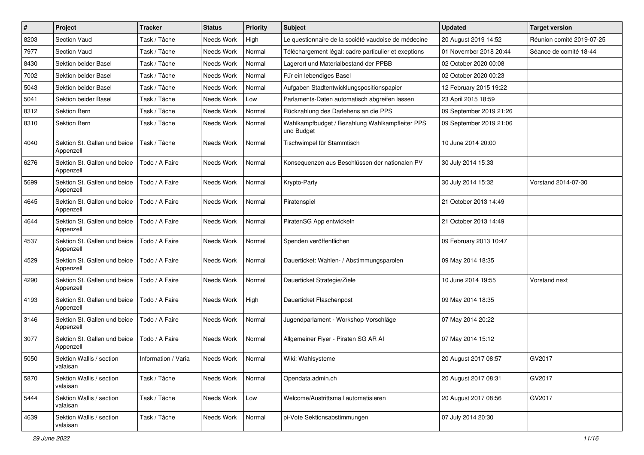| $\pmb{\#}$ | Project                                   | <b>Tracker</b>      | <b>Status</b> | <b>Priority</b> | <b>Subject</b>                                                | <b>Updated</b>          | <b>Target version</b>     |
|------------|-------------------------------------------|---------------------|---------------|-----------------|---------------------------------------------------------------|-------------------------|---------------------------|
| 8203       | Section Vaud                              | Task / Tâche        | Needs Work    | High            | Le questionnaire de la société vaudoise de médecine           | 20 August 2019 14:52    | Réunion comité 2019-07-25 |
| 7977       | Section Vaud                              | Task / Tâche        | Needs Work    | Normal          | Téléchargement légal: cadre particulier et exeptions          | 01 November 2018 20:44  | Séance de comité 18-44    |
| 8430       | Sektion beider Basel                      | Task / Tâche        | Needs Work    | Normal          | Lagerort und Materialbestand der PPBB                         | 02 October 2020 00:08   |                           |
| 7002       | Sektion beider Basel                      | Task / Tâche        | Needs Work    | Normal          | Für ein lebendiges Basel                                      | 02 October 2020 00:23   |                           |
| 5043       | <b>Sektion beider Basel</b>               | Task / Tâche        | Needs Work    | Normal          | Aufgaben Stadtentwicklungspositionspapier                     | 12 February 2015 19:22  |                           |
| 5041       | Sektion beider Basel                      | Task / Tâche        | Needs Work    | Low             | Parlaments-Daten automatisch abgreifen lassen                 | 23 April 2015 18:59     |                           |
| 8312       | Sektion Bern                              | Task / Tâche        | Needs Work    | Normal          | Rückzahlung des Darlehens an die PPS                          | 09 September 2019 21:26 |                           |
| 8310       | Sektion Bern                              | Task / Tâche        | Needs Work    | Normal          | Wahlkampfbudget / Bezahlung Wahlkampfleiter PPS<br>und Budget | 09 September 2019 21:06 |                           |
| 4040       | Sektion St. Gallen und beide<br>Appenzell | Task / Tâche        | Needs Work    | Normal          | Tischwimpel für Stammtisch                                    | 10 June 2014 20:00      |                           |
| 6276       | Sektion St. Gallen und beide<br>Appenzell | Todo / A Faire      | Needs Work    | Normal          | Konsequenzen aus Beschlüssen der nationalen PV                | 30 July 2014 15:33      |                           |
| 5699       | Sektion St. Gallen und beide<br>Appenzell | Todo / A Faire      | Needs Work    | Normal          | Krypto-Party                                                  | 30 July 2014 15:32      | Vorstand 2014-07-30       |
| 4645       | Sektion St. Gallen und beide<br>Appenzell | Todo / A Faire      | Needs Work    | Normal          | Piratenspiel                                                  | 21 October 2013 14:49   |                           |
| 4644       | Sektion St. Gallen und beide<br>Appenzell | Todo / A Faire      | Needs Work    | Normal          | PiratenSG App entwickeln                                      | 21 October 2013 14:49   |                           |
| 4537       | Sektion St. Gallen und beide<br>Appenzell | Todo / A Faire      | Needs Work    | Normal          | Spenden veröffentlichen                                       | 09 February 2013 10:47  |                           |
| 4529       | Sektion St. Gallen und beide<br>Appenzell | Todo / A Faire      | Needs Work    | Normal          | Dauerticket: Wahlen- / Abstimmungsparolen                     | 09 May 2014 18:35       |                           |
| 4290       | Sektion St. Gallen und beide<br>Appenzell | Todo / A Faire      | Needs Work    | Normal          | Dauerticket Strategie/Ziele                                   | 10 June 2014 19:55      | Vorstand next             |
| 4193       | Sektion St. Gallen und beide<br>Appenzell | Todo / A Faire      | Needs Work    | High            | Dauerticket Flaschenpost                                      | 09 May 2014 18:35       |                           |
| 3146       | Sektion St. Gallen und beide<br>Appenzell | Todo / A Faire      | Needs Work    | Normal          | Jugendparlament - Workshop Vorschläge                         | 07 May 2014 20:22       |                           |
| 3077       | Sektion St. Gallen und beide<br>Appenzell | Todo / A Faire      | Needs Work    | Normal          | Allgemeiner Flyer - Piraten SG AR Al                          | 07 May 2014 15:12       |                           |
| 5050       | Sektion Wallis / section<br>valaisan      | Information / Varia | Needs Work    | Normal          | Wiki: Wahlsysteme                                             | 20 August 2017 08:57    | GV2017                    |
| 5870       | Sektion Wallis / section<br>valaisan      | Task / Tâche        | Needs Work    | Normal          | Opendata.admin.ch                                             | 20 August 2017 08:31    | GV2017                    |
| 5444       | Sektion Wallis / section<br>valaisan      | Task / Tâche        | Needs Work    | Low             | Welcome/Austrittsmail automatisieren                          | 20 August 2017 08:56    | GV2017                    |
| 4639       | Sektion Wallis / section<br>valaisan      | Task / Tâche        | Needs Work    | Normal          | pi-Vote Sektionsabstimmungen                                  | 07 July 2014 20:30      |                           |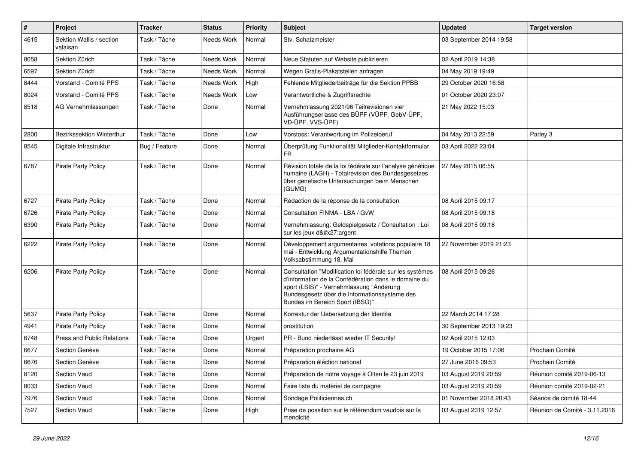| #    | Project                              | <b>Tracker</b> | <b>Status</b> | <b>Priority</b> | <b>Subject</b>                                                                                                                                                                                                                                   | <b>Updated</b>          | <b>Target version</b>         |
|------|--------------------------------------|----------------|---------------|-----------------|--------------------------------------------------------------------------------------------------------------------------------------------------------------------------------------------------------------------------------------------------|-------------------------|-------------------------------|
| 4615 | Sektion Wallis / section<br>valaisan | Task / Tâche   | Needs Work    | Normal          | Stv. Schatzmeister                                                                                                                                                                                                                               | 03 September 2014 19:58 |                               |
| 8058 | Sektion Zürich                       | Task / Tâche   | Needs Work    | Normal          | Neue Statuten auf Website publizieren                                                                                                                                                                                                            | 02 April 2019 14:38     |                               |
| 6597 | Sektion Zürich                       | Task / Tâche   | Needs Work    | Normal          | Wegen Gratis-Plakatstellen anfragen                                                                                                                                                                                                              | 04 May 2019 19:49       |                               |
| 8444 | Vorstand - Comité PPS                | Task / Tâche   | Needs Work    | High            | Fehlende Mitgliederbeiträge für die Sektion PPBB                                                                                                                                                                                                 | 29 October 2020 16:58   |                               |
| 8024 | Vorstand - Comité PPS                | Task / Tâche   | Needs Work    | Low             | Verantwortliche & Zugriffsrechte                                                                                                                                                                                                                 | 01 October 2020 23:07   |                               |
| 8518 | AG Vernehmlassungen                  | Task / Tâche   | Done          | Normal          | Vernehmlassung 2021/96 Teilrevisionen vier<br>Ausführungserlasse des BÜPF (VÜPF, GebV-ÜPF,<br>VD-ÜPF, VVS-ÜPF)                                                                                                                                   | 21 May 2022 15:03       |                               |
| 2800 | Bezirkssektion Winterthur            | Task / Tâche   | Done          | Low             | Vorstoss: Verantwortung im Polizeiberuf                                                                                                                                                                                                          | 04 May 2013 22:59       | Parley 3                      |
| 8545 | Digitale Infrastruktur               | Bug / Feature  | Done          | Normal          | Überprüfung Funktionalität Mitglieder-Kontaktformular<br><b>FR</b>                                                                                                                                                                               | 03 April 2022 23:04     |                               |
| 6787 | <b>Pirate Party Policy</b>           | Task / Tâche   | Done          | Normal          | Révision totale de la loi fédérale sur l'analyse génétique<br>humaine (LAGH) - Totalrevision des Bundesgesetzes<br>über genetische Untersuchungen beim Menschen<br>(GUMG)                                                                        | 27 May 2015 06:55       |                               |
| 6727 | <b>Pirate Party Policy</b>           | Task / Tâche   | Done          | Normal          | Rédaction de la réponse de la consultation                                                                                                                                                                                                       | 08 April 2015 09:17     |                               |
| 6726 | <b>Pirate Party Policy</b>           | Task / Tâche   | Done          | Normal          | Consultation FINMA - LBA / GvW                                                                                                                                                                                                                   | 08 April 2015 09:18     |                               |
| 6390 | <b>Pirate Party Policy</b>           | Task / Tâche   | Done          | Normal          | Vernehmlassung: Geldspielgesetz / Consultation : Loi<br>sur les jeux d'argent                                                                                                                                                                    | 08 April 2015 09:18     |                               |
| 6222 | <b>Pirate Party Policy</b>           | Task / Tâche   | Done          | Normal          | Développement argumentaires votations populaire 18<br>mai - Entwicklung Argumentationshilfe Themen<br>Volksabstimmung 18. Mai                                                                                                                    | 27 November 2019 21:23  |                               |
| 6206 | <b>Pirate Party Policy</b>           | Task / Tâche   | Done          | Normal          | Consultation "Modification loi fédérale sur les systèmes<br>d'information de la Confédération dans le domaine du<br>sport (LSIS)" - Vernehmlassung "Änderung<br>Bundesgesetz über die Informationssysteme des<br>Bundes im Bereich Sport (IBSG)" | 08 April 2015 09:26     |                               |
| 5637 | <b>Pirate Party Policy</b>           | Task / Tâche   | Done          | Normal          | Korrektur der Uebersetzung der Identite                                                                                                                                                                                                          | 22 March 2014 17:28     |                               |
| 4941 | <b>Pirate Party Policy</b>           | Task / Tâche   | Done          | Normal          | prostitution                                                                                                                                                                                                                                     | 30 September 2013 19:23 |                               |
| 6748 | Press and Public Relations           | Task / Tâche   | Done          | Urgent          | PR - Bund niederlässt wieder IT Security!                                                                                                                                                                                                        | 02 April 2015 12:03     |                               |
| 6677 | Section Genève                       | Task / Tâche   | Done          | Normal          | Préparation prochaine AG                                                                                                                                                                                                                         | 19 October 2015 17:06   | Prochain Comité               |
| 6676 | Section Genève                       | Task / Tâche   | Done          | Normal          | Préparation éléction national                                                                                                                                                                                                                    | 27 June 2016 09:53      | Prochain Comité               |
| 8120 | Section Vaud                         | Task / Tâche   | Done          | Normal          | Préparation de notre voyage à Olten le 23 juin 2019                                                                                                                                                                                              | 03 August 2019 20:59    | Réunion comité 2019-06-13     |
| 8033 | Section Vaud                         | Task / Tâche   | Done          | Normal          | Faire liste du matériel de campagne                                                                                                                                                                                                              | 03 August 2019 20:59    | Réunion comité 2019-02-21     |
| 7976 | Section Vaud                         | Task / Tâche   | Done          | Normal          | Sondage Politiciennes.ch                                                                                                                                                                                                                         | 01 November 2018 20:43  | Séance de comité 18-44        |
| 7527 | Section Vaud                         | Task / Tâche   | Done          | High            | Prise de possition sur le référendum vaudois sur la<br>mendicité                                                                                                                                                                                 | 03 August 2019 12:57    | Réunion de Comité - 3.11.2016 |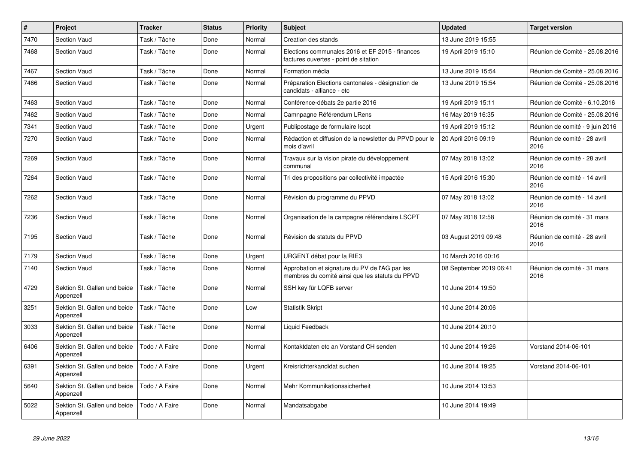| $\sharp$ | <b>Project</b>                            | <b>Tracker</b> | <b>Status</b> | <b>Priority</b> | <b>Subject</b>                                                                                    | <b>Updated</b>          | <b>Target version</b>                |
|----------|-------------------------------------------|----------------|---------------|-----------------|---------------------------------------------------------------------------------------------------|-------------------------|--------------------------------------|
| 7470     | Section Vaud                              | Task / Tâche   | Done          | Normal          | Creation des stands                                                                               | 13 June 2019 15:55      |                                      |
| 7468     | Section Vaud                              | Task / Tâche   | Done          | Normal          | Elections communales 2016 et EF 2015 - finances<br>factures ouvertes - point de sitation          | 19 April 2019 15:10     | Réunion de Comité - 25.08.2016       |
| 7467     | Section Vaud                              | Task / Tâche   | Done          | Normal          | Formation média                                                                                   | 13 June 2019 15:54      | Réunion de Comité - 25.08.2016       |
| 7466     | <b>Section Vaud</b>                       | Task / Tâche   | Done          | Normal          | Préparation Elections cantonales - désignation de<br>candidats - alliance - etc                   | 13 June 2019 15:54      | Réunion de Comité - 25.08.2016       |
| 7463     | Section Vaud                              | Task / Tâche   | Done          | Normal          | Conférence-débats 2e partie 2016                                                                  | 19 April 2019 15:11     | Réunion de Comité - 6.10.2016        |
| 7462     | <b>Section Vaud</b>                       | Task / Tâche   | Done          | Normal          | Camnpagne Référendum LRens                                                                        | 16 May 2019 16:35       | Réunion de Comité - 25.08.2016       |
| 7341     | Section Vaud                              | Task / Tâche   | Done          | Urgent          | Publipostage de formulaire Iscpt                                                                  | 19 April 2019 15:12     | Réunion de comité - 9 juin 2016      |
| 7270     | <b>Section Vaud</b>                       | Task / Tâche   | Done          | Normal          | Rédaction et diffusion de la newsletter du PPVD pour le<br>mois d'avril                           | 20 April 2016 09:19     | Réunion de comité - 28 avril<br>2016 |
| 7269     | <b>Section Vaud</b>                       | Task / Tâche   | Done          | Normal          | Travaux sur la vision pirate du développement<br>communal                                         | 07 May 2018 13:02       | Réunion de comité - 28 avril<br>2016 |
| 7264     | Section Vaud                              | Task / Tâche   | Done          | Normal          | Tri des propositions par collectivité impactée                                                    | 15 April 2016 15:30     | Réunion de comité - 14 avril<br>2016 |
| 7262     | <b>Section Vaud</b>                       | Task / Tâche   | Done          | Normal          | Révision du programme du PPVD                                                                     | 07 May 2018 13:02       | Réunion de comité - 14 avril<br>2016 |
| 7236     | Section Vaud                              | Task / Tâche   | Done          | Normal          | Organisation de la campagne référendaire LSCPT                                                    | 07 May 2018 12:58       | Réunion de comité - 31 mars<br>2016  |
| 7195     | <b>Section Vaud</b>                       | Task / Tâche   | Done          | Normal          | Révision de statuts du PPVD                                                                       | 03 August 2019 09:48    | Réunion de comité - 28 avril<br>2016 |
| 7179     | Section Vaud                              | Task / Tâche   | Done          | Urgent          | URGENT débat pour la RIE3                                                                         | 10 March 2016 00:16     |                                      |
| 7140     | <b>Section Vaud</b>                       | Task / Tâche   | Done          | Normal          | Approbation et signature du PV de l'AG par les<br>membres du comité ainsi que les statuts du PPVD | 08 September 2019 06:41 | Réunion de comité - 31 mars<br>2016  |
| 4729     | Sektion St. Gallen und beide<br>Appenzell | Task / Tâche   | Done          | Normal          | SSH key für LQFB server                                                                           | 10 June 2014 19:50      |                                      |
| 3251     | Sektion St. Gallen und beide<br>Appenzell | Task / Tâche   | Done          | Low             | <b>Statistik Skript</b>                                                                           | 10 June 2014 20:06      |                                      |
| 3033     | Sektion St. Gallen und beide<br>Appenzell | Task / Tâche   | Done          | Normal          | Liquid Feedback                                                                                   | 10 June 2014 20:10      |                                      |
| 6406     | Sektion St. Gallen und beide<br>Appenzell | Todo / A Faire | Done          | Normal          | Kontaktdaten etc an Vorstand CH senden                                                            | 10 June 2014 19:26      | Vorstand 2014-06-101                 |
| 6391     | Sektion St. Gallen und beide<br>Appenzell | Todo / A Faire | Done          | Urgent          | Kreisrichterkandidat suchen                                                                       | 10 June 2014 19:25      | Vorstand 2014-06-101                 |
| 5640     | Sektion St. Gallen und beide<br>Appenzell | Todo / A Faire | Done          | Normal          | Mehr Kommunikationssicherheit                                                                     | 10 June 2014 13:53      |                                      |
| 5022     | Sektion St. Gallen und beide<br>Appenzell | Todo / A Faire | Done          | Normal          | Mandatsabgabe                                                                                     | 10 June 2014 19:49      |                                      |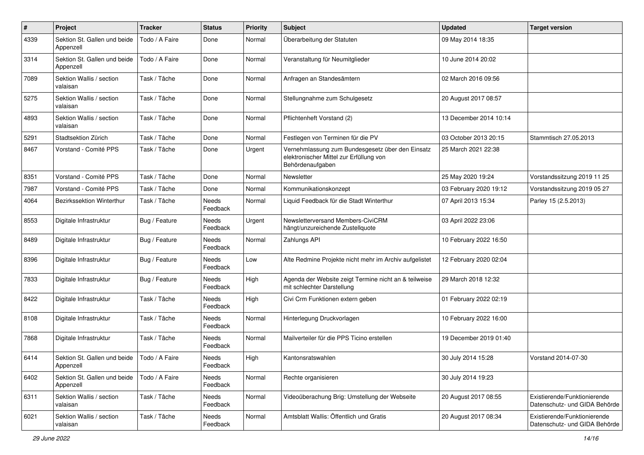| $\pmb{\#}$ | Project                                   | <b>Tracker</b> | <b>Status</b>            | <b>Priority</b> | Subject                                                                                                         | <b>Updated</b>         | <b>Target version</b>                                         |
|------------|-------------------------------------------|----------------|--------------------------|-----------------|-----------------------------------------------------------------------------------------------------------------|------------------------|---------------------------------------------------------------|
| 4339       | Sektion St. Gallen und beide<br>Appenzell | Todo / A Faire | Done                     | Normal          | Überarbeitung der Statuten                                                                                      | 09 May 2014 18:35      |                                                               |
| 3314       | Sektion St. Gallen und beide<br>Appenzell | Todo / A Faire | Done                     | Normal          | Veranstaltung für Neumitglieder                                                                                 | 10 June 2014 20:02     |                                                               |
| 7089       | Sektion Wallis / section<br>valaisan      | Task / Tâche   | Done                     | Normal          | Anfragen an Standesämtern                                                                                       | 02 March 2016 09:56    |                                                               |
| 5275       | Sektion Wallis / section<br>valaisan      | Task / Tâche   | Done                     | Normal          | Stellungnahme zum Schulgesetz                                                                                   | 20 August 2017 08:57   |                                                               |
| 4893       | Sektion Wallis / section<br>valaisan      | Task / Tâche   | Done                     | Normal          | Pflichtenheft Vorstand (2)                                                                                      | 13 December 2014 10:14 |                                                               |
| 5291       | Stadtsektion Zürich                       | Task / Tâche   | Done                     | Normal          | Festlegen von Terminen für die PV                                                                               | 03 October 2013 20:15  | Stammtisch 27.05.2013                                         |
| 8467       | Vorstand - Comité PPS                     | Task / Tâche   | Done                     | Urgent          | Vernehmlassung zum Bundesgesetz über den Einsatz<br>elektronischer Mittel zur Erfüllung von<br>Behördenaufgaben | 25 March 2021 22:38    |                                                               |
| 8351       | Vorstand - Comité PPS                     | Task / Tâche   | Done                     | Normal          | Newsletter                                                                                                      | 25 May 2020 19:24      | Vorstandssitzung 2019 11 25                                   |
| 7987       | Vorstand - Comité PPS                     | Task / Tâche   | Done                     | Normal          | Kommunikationskonzept                                                                                           | 03 February 2020 19:12 | Vorstandssitzung 2019 05 27                                   |
| 4064       | Bezirkssektion Winterthur                 | Task / Tâche   | Needs<br>Feedback        | Normal          | Liquid Feedback für die Stadt Winterthur                                                                        | 07 April 2013 15:34    | Parley 15 (2.5.2013)                                          |
| 8553       | Digitale Infrastruktur                    | Bug / Feature  | Needs<br>Feedback        | Urgent          | Newsletterversand Members-CiviCRM<br>hängt/unzureichende Zustellquote                                           | 03 April 2022 23:06    |                                                               |
| 8489       | Digitale Infrastruktur                    | Bug / Feature  | Needs<br>Feedback        | Normal          | Zahlungs API                                                                                                    | 10 February 2022 16:50 |                                                               |
| 8396       | Digitale Infrastruktur                    | Bug / Feature  | Needs<br>Feedback        | Low             | Alte Redmine Projekte nicht mehr im Archiv aufgelistet                                                          | 12 February 2020 02:04 |                                                               |
| 7833       | Digitale Infrastruktur                    | Bug / Feature  | Needs<br>Feedback        | High            | Agenda der Website zeigt Termine nicht an & teilweise<br>mit schlechter Darstellung                             | 29 March 2018 12:32    |                                                               |
| 8422       | Digitale Infrastruktur                    | Task / Tâche   | Needs<br>Feedback        | High            | Civi Crm Funktionen extern geben                                                                                | 01 February 2022 02:19 |                                                               |
| 8108       | Digitale Infrastruktur                    | Task / Tâche   | <b>Needs</b><br>Feedback | Normal          | Hinterlegung Druckvorlagen                                                                                      | 10 February 2022 16:00 |                                                               |
| 7868       | Digitale Infrastruktur                    | Task / Tâche   | Needs<br>Feedback        | Normal          | Mailverteiler für die PPS Ticino erstellen                                                                      | 19 December 2019 01:40 |                                                               |
| 6414       | Sektion St. Gallen und beide<br>Appenzell | Todo / A Faire | Needs<br>Feedback        | High            | Kantonsratswahlen                                                                                               | 30 July 2014 15:28     | Vorstand 2014-07-30                                           |
| 6402       | Sektion St. Gallen und beide<br>Appenzell | Todo / A Faire | Needs<br>Feedback        | Normal          | Rechte organisieren                                                                                             | 30 July 2014 19:23     |                                                               |
| 6311       | Sektion Wallis / section<br>valaisan      | Task / Tâche   | Needs<br>Feedback        | Normal          | Videoüberachung Brig: Umstellung der Webseite                                                                   | 20 August 2017 08:55   | Existierende/Funktionierende<br>Datenschutz- und GIDA Behörde |
| 6021       | Sektion Wallis / section<br>valaisan      | Task / Tâche   | Needs<br>Feedback        | Normal          | Amtsblatt Wallis: Öffentlich und Gratis                                                                         | 20 August 2017 08:34   | Existierende/Funktionierende<br>Datenschutz- und GIDA Behörde |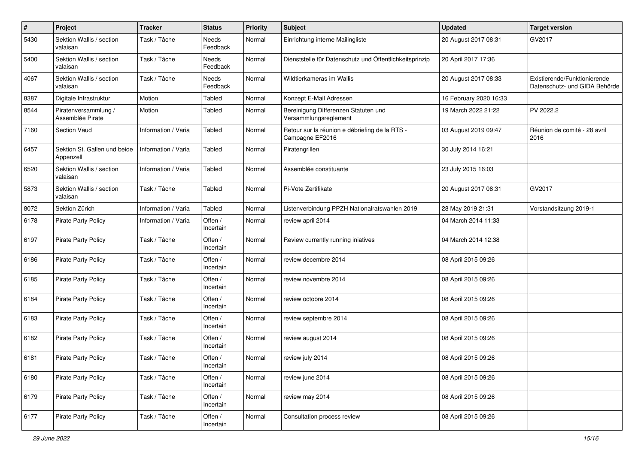| $\pmb{\#}$ | Project                                   | <b>Tracker</b>      | <b>Status</b>        | <b>Priority</b> | <b>Subject</b>                                                    | <b>Updated</b>         | <b>Target version</b>                                         |
|------------|-------------------------------------------|---------------------|----------------------|-----------------|-------------------------------------------------------------------|------------------------|---------------------------------------------------------------|
| 5430       | Sektion Wallis / section<br>valaisan      | Task / Tâche        | Needs<br>Feedback    | Normal          | Einrichtung interne Mailingliste                                  | 20 August 2017 08:31   | GV2017                                                        |
| 5400       | Sektion Wallis / section<br>valaisan      | Task / Tâche        | Needs<br>Feedback    | Normal          | Dienststelle für Datenschutz und Öffentlichkeitsprinzip           | 20 April 2017 17:36    |                                                               |
| 4067       | Sektion Wallis / section<br>valaisan      | Task / Tâche        | Needs<br>Feedback    | Normal          | Wildtierkameras im Wallis                                         | 20 August 2017 08:33   | Existierende/Funktionierende<br>Datenschutz- und GIDA Behörde |
| 8387       | Digitale Infrastruktur                    | Motion              | Tabled               | Normal          | Konzept E-Mail Adressen                                           | 16 February 2020 16:33 |                                                               |
| 8544       | Piratenversammlung /<br>Assemblée Pirate  | Motion              | Tabled               | Normal          | Bereinigung Differenzen Statuten und<br>Versammlungsreglement     | 19 March 2022 21:22    | PV 2022.2                                                     |
| 7160       | Section Vaud                              | Information / Varia | Tabled               | Normal          | Retour sur la réunion e débriefing de la RTS -<br>Campagne EF2016 | 03 August 2019 09:47   | Réunion de comité - 28 avril<br>2016                          |
| 6457       | Sektion St. Gallen und beide<br>Appenzell | Information / Varia | Tabled               | Normal          | Piratengrillen                                                    | 30 July 2014 16:21     |                                                               |
| 6520       | Sektion Wallis / section<br>valaisan      | Information / Varia | Tabled               | Normal          | Assemblée constituante                                            | 23 July 2015 16:03     |                                                               |
| 5873       | Sektion Wallis / section<br>valaisan      | Task / Tâche        | Tabled               | Normal          | Pi-Vote Zertifikate                                               | 20 August 2017 08:31   | GV2017                                                        |
| 8072       | Sektion Zürich                            | Information / Varia | Tabled               | Normal          | Listenverbindung PPZH Nationalratswahlen 2019                     | 28 May 2019 21:31      | Vorstandsitzung 2019-1                                        |
| 6178       | Pirate Party Policy                       | Information / Varia | Offen /<br>Incertain | Normal          | review april 2014                                                 | 04 March 2014 11:33    |                                                               |
| 6197       | Pirate Party Policy                       | Task / Tâche        | Offen /<br>Incertain | Normal          | Review currently running iniatives                                | 04 March 2014 12:38    |                                                               |
| 6186       | Pirate Party Policy                       | Task / Tâche        | Offen /<br>Incertain | Normal          | review decembre 2014                                              | 08 April 2015 09:26    |                                                               |
| 6185       | <b>Pirate Party Policy</b>                | Task / Tâche        | Offen /<br>Incertain | Normal          | review novembre 2014                                              | 08 April 2015 09:26    |                                                               |
| 6184       | <b>Pirate Party Policy</b>                | Task / Tâche        | Offen /<br>Incertain | Normal          | review octobre 2014                                               | 08 April 2015 09:26    |                                                               |
| 6183       | <b>Pirate Party Policy</b>                | Task / Tâche        | Offen /<br>Incertain | Normal          | review septembre 2014                                             | 08 April 2015 09:26    |                                                               |
| 6182       | <b>Pirate Party Policy</b>                | Task / Tâche        | Offen /<br>Incertain | Normal          | review august 2014                                                | 08 April 2015 09:26    |                                                               |
| 6181       | <b>Pirate Party Policy</b>                | Task / Tâche        | Offen /<br>Incertain | Normal          | review july 2014                                                  | 08 April 2015 09:26    |                                                               |
| 6180       | <b>Pirate Party Policy</b>                | Task / Tâche        | Offen /<br>Incertain | Normal          | review june 2014                                                  | 08 April 2015 09:26    |                                                               |
| 6179       | Pirate Party Policy                       | Task / Tâche        | Offen /<br>Incertain | Normal          | review may 2014                                                   | 08 April 2015 09:26    |                                                               |
| 6177       | Pirate Party Policy                       | Task / Tâche        | Offen /<br>Incertain | Normal          | Consultation process review                                       | 08 April 2015 09:26    |                                                               |